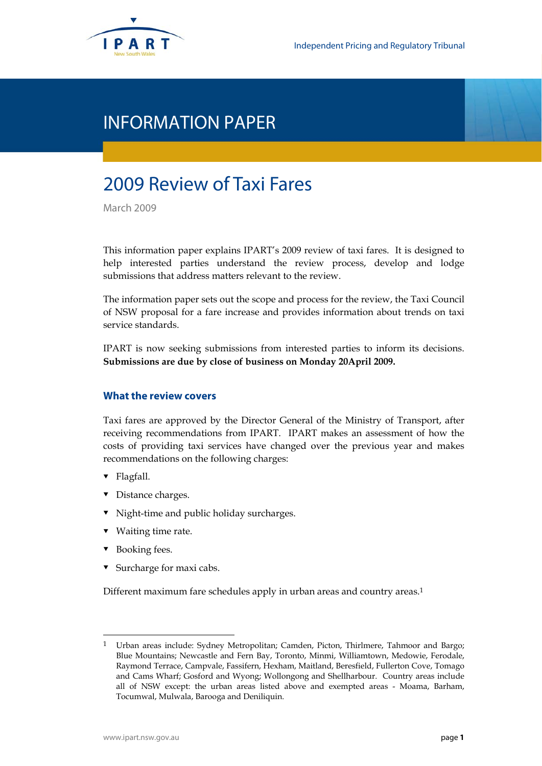

# INFORMATION PAPER

# 2009 Review of Taxi Fares

March 2009

This information paper explains IPART's 2009 review of taxi fares. It is designed to help interested parties understand the review process, develop and lodge submissions that address matters relevant to the review.

The information paper sets out the scope and process for the review, the Taxi Council of NSW proposal for a fare increase and provides information about trends on taxi service standards.

IPART is now seeking submissions from interested parties to inform its decisions. **Submissions are due by close of business on Monday 20April 2009.** 

# **What the review covers**

Taxi fares are approved by the Director General of the Ministry of Transport, after receiving recommendations from IPART. IPART makes an assessment of how the costs of providing taxi services have changed over the previous year and makes recommendations on the following charges:

- ▼ Flagfall.
- Distance charges.
- $\blacksquare$  Night-time and public holiday surcharges.
- ▼ Waiting time rate.
- Booking fees.

 $\overline{a}$ 

▼ Surcharge for maxi cabs.

Different maximum fare schedules apply in urban areas and country areas.1

<sup>1</sup> Urban areas include: Sydney Metropolitan; Camden, Picton, Thirlmere, Tahmoor and Bargo; Blue Mountains; Newcastle and Fern Bay, Toronto, Minmi, Williamtown, Medowie, Ferodale, Raymond Terrace, Campvale, Fassifern, Hexham, Maitland, Beresfield, Fullerton Cove, Tomago and Cams Wharf; Gosford and Wyong; Wollongong and Shellharbour. Country areas include all of NSW except: the urban areas listed above and exempted areas - Moama, Barham, Tocumwal, Mulwala, Barooga and Deniliquin.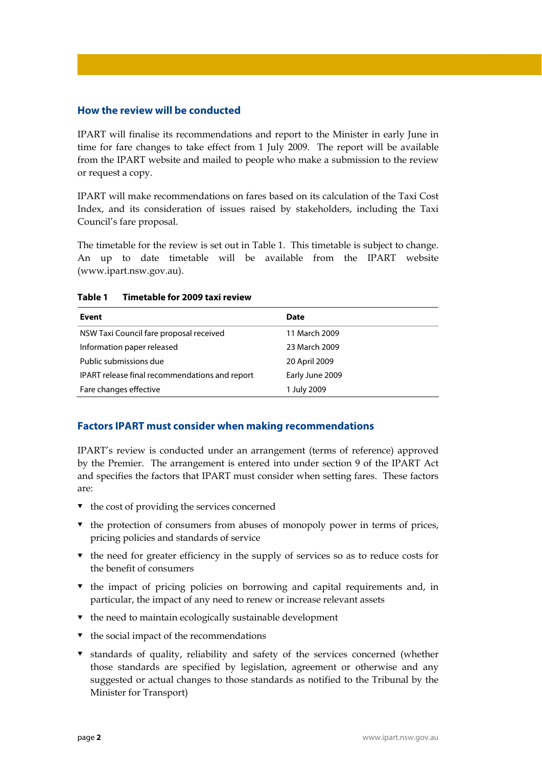# **How the review will be conducted**

IPART will finalise its recommendations and report to the Minister in early June in time for fare changes to take effect from 1 July 2009. The report will be available from the IPART website and mailed to people who make a submission to the review or request a copy.

IPART will make recommendations on fares based on its calculation of the Taxi Cost Index, and its consideration of issues raised by stakeholders, including the Taxi Council's fare proposal.

The timetable for the review is set out in Table 1. This timetable is subject to change. An up to date timetable will be available from the IPART website (www.ipart.nsw.gov.au).

| Event                                          | Date            |
|------------------------------------------------|-----------------|
| NSW Taxi Council fare proposal received        | 11 March 2009   |
| Information paper released                     | 23 March 2009   |
| Public submissions due                         | 20 April 2009   |
| IPART release final recommendations and report | Early June 2009 |
| Fare changes effective                         | 1 July 2009     |

## **Table 1 Timetable for 2009 taxi review**

# **Factors IPART must consider when making recommendations**

IPART's review is conducted under an arrangement (terms of reference) approved by the Premier. The arrangement is entered into under section 9 of the IPART Act and specifies the factors that IPART must consider when setting fares. These factors are:

- $\bullet$  the cost of providing the services concerned
- $\bullet$  the protection of consumers from abuses of monopoly power in terms of prices, pricing policies and standards of service
- $\bullet$  the need for greater efficiency in the supply of services so as to reduce costs for the benefit of consumers
- $\bullet$  the impact of pricing policies on borrowing and capital requirements and, in particular, the impact of any need to renew or increase relevant assets
- $\bullet$  the need to maintain ecologically sustainable development
- $\bullet$  the social impact of the recommendations
- standards of quality, reliability and safety of the services concerned (whether those standards are specified by legislation, agreement or otherwise and any suggested or actual changes to those standards as notified to the Tribunal by the Minister for Transport)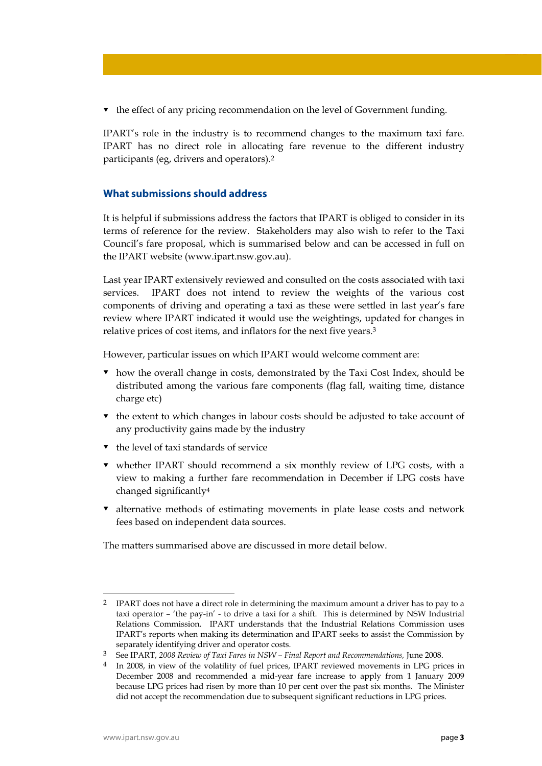**the effect of any pricing recommendation on the level of Government funding.** 

IPART's role in the industry is to recommend changes to the maximum taxi fare. IPART has no direct role in allocating fare revenue to the different industry participants (eg, drivers and operators).2

# **What submissions should address**

It is helpful if submissions address the factors that IPART is obliged to consider in its terms of reference for the review. Stakeholders may also wish to refer to the Taxi Council's fare proposal, which is summarised below and can be accessed in full on the IPART website (www.ipart.nsw.gov.au).

Last year IPART extensively reviewed and consulted on the costs associated with taxi services. IPART does not intend to review the weights of the various cost components of driving and operating a taxi as these were settled in last year's fare review where IPART indicated it would use the weightings, updated for changes in relative prices of cost items, and inflators for the next five years.3

However, particular issues on which IPART would welcome comment are:

- how the overall change in costs, demonstrated by the Taxi Cost Index, should be distributed among the various fare components (flag fall, waiting time, distance charge etc)
- $\bullet$  the extent to which changes in labour costs should be adjusted to take account of any productivity gains made by the industry
- $\bullet$  the level of taxi standards of service
- whether IPART should recommend a six monthly review of LPG costs, with a view to making a further fare recommendation in December if LPG costs have changed significantly4
- alternative methods of estimating movements in plate lease costs and network fees based on independent data sources.

The matters summarised above are discussed in more detail below.

<sup>&</sup>lt;sup>2</sup> IPART does not have a direct role in determining the maximum amount a driver has to pay to a taxi operator – 'the pay-in' - to drive a taxi for a shift. This is determined by NSW Industrial Relations Commission. IPART understands that the Industrial Relations Commission uses IPART's reports when making its determination and IPART seeks to assist the Commission by separately identifying driver and operator costs.

<sup>3</sup> See IPART, *2008 Review of Taxi Fares in NSW – Final Report and Recommendations,* June 2008.

<sup>4</sup> In 2008, in view of the volatility of fuel prices, IPART reviewed movements in LPG prices in December 2008 and recommended a mid-year fare increase to apply from 1 January 2009 because LPG prices had risen by more than 10 per cent over the past six months. The Minister did not accept the recommendation due to subsequent significant reductions in LPG prices.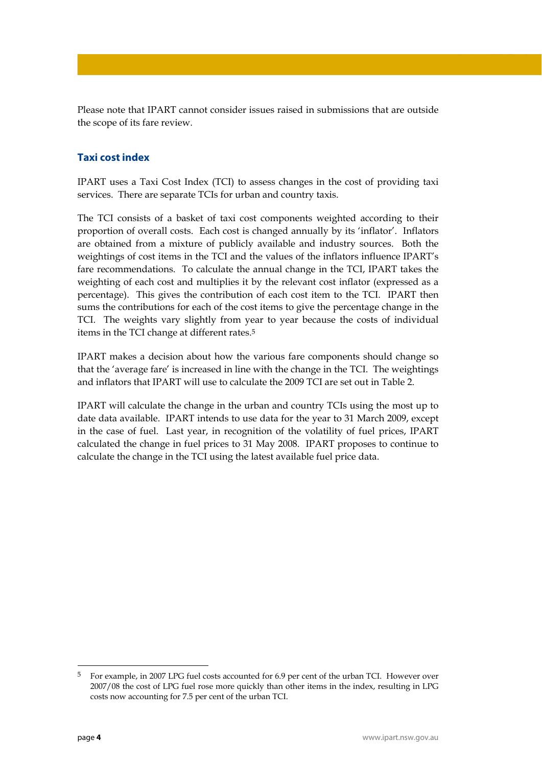Please note that IPART cannot consider issues raised in submissions that are outside the scope of its fare review.

# **Taxi cost index**

IPART uses a Taxi Cost Index (TCI) to assess changes in the cost of providing taxi services. There are separate TCIs for urban and country taxis.

The TCI consists of a basket of taxi cost components weighted according to their proportion of overall costs. Each cost is changed annually by its 'inflator'. Inflators are obtained from a mixture of publicly available and industry sources. Both the weightings of cost items in the TCI and the values of the inflators influence IPART's fare recommendations. To calculate the annual change in the TCI, IPART takes the weighting of each cost and multiplies it by the relevant cost inflator (expressed as a percentage). This gives the contribution of each cost item to the TCI. IPART then sums the contributions for each of the cost items to give the percentage change in the TCI. The weights vary slightly from year to year because the costs of individual items in the TCI change at different rates.5

IPART makes a decision about how the various fare components should change so that the 'average fare' is increased in line with the change in the TCI. The weightings and inflators that IPART will use to calculate the 2009 TCI are set out in Table 2.

IPART will calculate the change in the urban and country TCIs using the most up to date data available. IPART intends to use data for the year to 31 March 2009, except in the case of fuel. Last year, in recognition of the volatility of fuel prices, IPART calculated the change in fuel prices to 31 May 2008. IPART proposes to continue to calculate the change in the TCI using the latest available fuel price data.

1

<sup>5</sup> For example, in 2007 LPG fuel costs accounted for 6.9 per cent of the urban TCI. However over 2007/08 the cost of LPG fuel rose more quickly than other items in the index, resulting in LPG costs now accounting for 7.5 per cent of the urban TCI.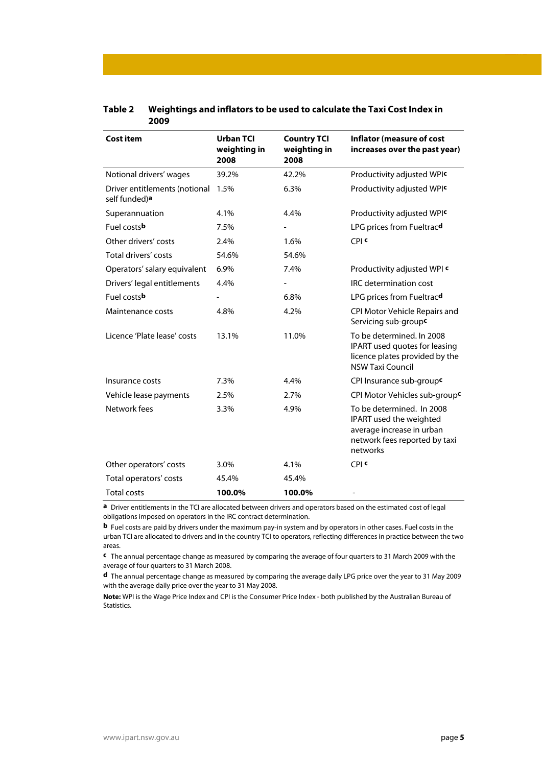| <b>Cost item</b>                               | Urban TCI<br>weighting in<br>2008 | <b>Country TCI</b><br>weighting in<br>2008 | <b>Inflator (measure of cost</b><br>increases over the past year)                                                              |
|------------------------------------------------|-----------------------------------|--------------------------------------------|--------------------------------------------------------------------------------------------------------------------------------|
| Notional drivers' wages                        | 39.2%                             | 42.2%                                      | Productivity adjusted WPIC                                                                                                     |
| Driver entitlements (notional<br>self funded)a | 1.5%                              | 6.3%                                       | Productivity adjusted WPIC                                                                                                     |
| Superannuation                                 | 4.1%                              | 4.4%                                       | Productivity adjusted WPIC                                                                                                     |
| Fuel costsb                                    | 7.5%                              |                                            | LPG prices from Fueltracd                                                                                                      |
| Other drivers' costs                           | 2.4%                              | 1.6%                                       | CPI <sup>c</sup>                                                                                                               |
| Total drivers' costs                           | 54.6%                             | 54.6%                                      |                                                                                                                                |
| Operators' salary equivalent                   | 6.9%                              | 7.4%                                       | Productivity adjusted WPI c                                                                                                    |
| Drivers' legal entitlements                    | 4.4%                              | $\overline{\phantom{a}}$                   | IRC determination cost                                                                                                         |
| Fuel costs <b>b</b>                            |                                   | 6.8%                                       | LPG prices from Fueltracd                                                                                                      |
| Maintenance costs                              | 4.8%                              | 4.2%                                       | CPI Motor Vehicle Repairs and<br>Servicing sub-groupc                                                                          |
| Licence 'Plate lease' costs                    | 13.1%                             | 11.0%                                      | To be determined. In 2008<br>IPART used quotes for leasing<br>licence plates provided by the<br><b>NSW Taxi Council</b>        |
| Insurance costs                                | 7.3%                              | 4.4%                                       | CPI Insurance sub-groupc                                                                                                       |
| Vehicle lease payments                         | 2.5%                              | 2.7%                                       | CPI Motor Vehicles sub-group <sup>c</sup>                                                                                      |
| Network fees                                   | 3.3%                              | 4.9%                                       | To be determined. In 2008<br>IPART used the weighted<br>average increase in urban<br>network fees reported by taxi<br>networks |
| Other operators' costs                         | 3.0%                              | 4.1%                                       | CPI <sup>c</sup>                                                                                                               |
| Total operators' costs                         | 45.4%                             | 45.4%                                      |                                                                                                                                |
| <b>Total costs</b>                             | 100.0%                            | 100.0%                                     |                                                                                                                                |

## **Table 2 Weightings and inflators to be used to calculate the Taxi Cost Index in 2009**

**a** Driver entitlements in the TCI are allocated between drivers and operators based on the estimated cost of legal obligations imposed on operators in the IRC contract determination.

**b** Fuel costs are paid by drivers under the maximum pay-in system and by operators in other cases. Fuel costs in the urban TCI are allocated to drivers and in the country TCI to operators, reflecting differences in practice between the two areas.

**c** The annual percentage change as measured by comparing the average of four quarters to 31 March 2009 with the average of four quarters to 31 March 2008.

**d** The annual percentage change as measured by comparing the average daily LPG price over the year to 31 May 2009 with the average daily price over the year to 31 May 2008.

**Note:** WPI is the Wage Price Index and CPI is the Consumer Price Index - both published by the Australian Bureau of Statistics.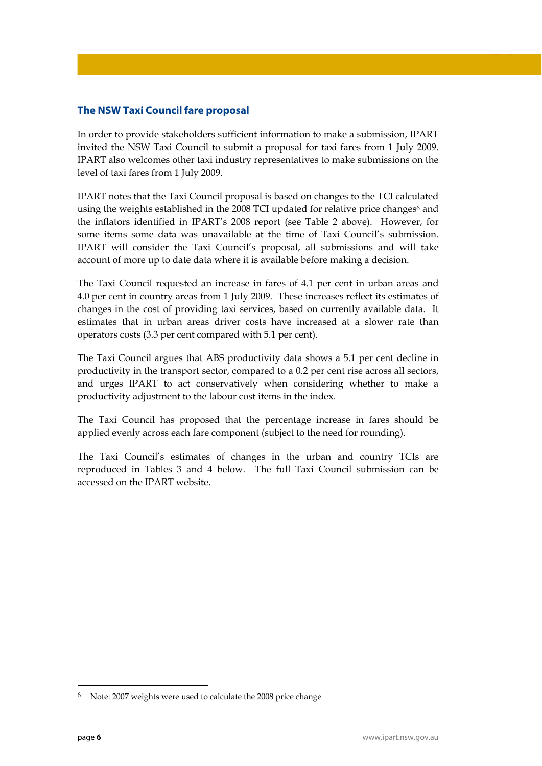# **The NSW Taxi Council fare proposal**

In order to provide stakeholders sufficient information to make a submission, IPART invited the NSW Taxi Council to submit a proposal for taxi fares from 1 July 2009. IPART also welcomes other taxi industry representatives to make submissions on the level of taxi fares from 1 July 2009.

IPART notes that the Taxi Council proposal is based on changes to the TCI calculated using the weights established in the 2008 TCI updated for relative price changes<sup>6</sup> and the inflators identified in IPART's 2008 report (see Table 2 above). However, for some items some data was unavailable at the time of Taxi Council's submission. IPART will consider the Taxi Council's proposal, all submissions and will take account of more up to date data where it is available before making a decision.

The Taxi Council requested an increase in fares of 4.1 per cent in urban areas and 4.0 per cent in country areas from 1 July 2009. These increases reflect its estimates of changes in the cost of providing taxi services, based on currently available data. It estimates that in urban areas driver costs have increased at a slower rate than operators costs (3.3 per cent compared with 5.1 per cent).

The Taxi Council argues that ABS productivity data shows a 5.1 per cent decline in productivity in the transport sector, compared to a 0.2 per cent rise across all sectors, and urges IPART to act conservatively when considering whether to make a productivity adjustment to the labour cost items in the index.

The Taxi Council has proposed that the percentage increase in fares should be applied evenly across each fare component (subject to the need for rounding).

The Taxi Council's estimates of changes in the urban and country TCIs are reproduced in Tables 3 and 4 below. The full Taxi Council submission can be accessed on the IPART website.

1

<sup>6</sup> Note: 2007 weights were used to calculate the 2008 price change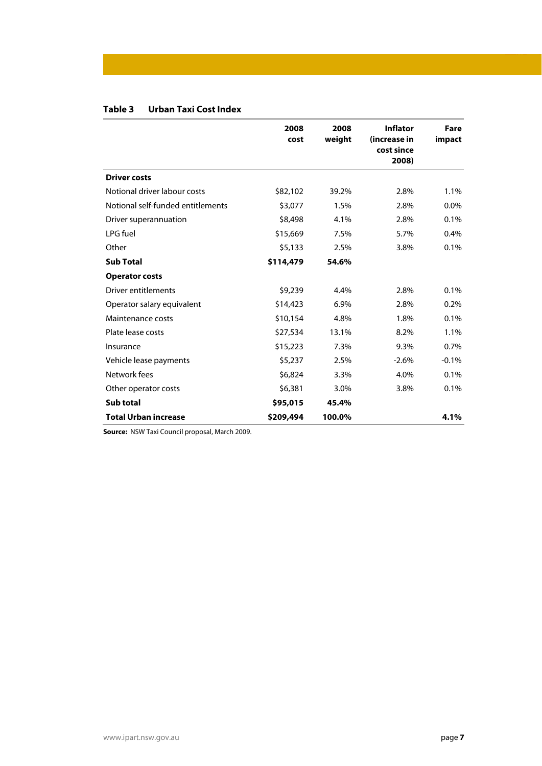| Urban Taxi Cost Index<br>Table 3 |
|----------------------------------|
|----------------------------------|

|                                   | 2008<br>cost | 2008<br>weight | <b>Inflator</b><br>(increase in<br>cost since<br>2008) | Fare<br>impact |
|-----------------------------------|--------------|----------------|--------------------------------------------------------|----------------|
| <b>Driver costs</b>               |              |                |                                                        |                |
| Notional driver labour costs      | \$82,102     | 39.2%          | 2.8%                                                   | 1.1%           |
| Notional self-funded entitlements | \$3,077      | 1.5%           | 2.8%                                                   | $0.0\%$        |
| Driver superannuation             | \$8,498      | 4.1%           | 2.8%                                                   | 0.1%           |
| LPG fuel                          | \$15,669     | 7.5%           | 5.7%                                                   | 0.4%           |
| Other                             | \$5,133      | 2.5%           | 3.8%                                                   | 0.1%           |
| <b>Sub Total</b>                  | \$114,479    | 54.6%          |                                                        |                |
| <b>Operator costs</b>             |              |                |                                                        |                |
| Driver entitlements               | \$9,239      | 4.4%           | 2.8%                                                   | 0.1%           |
| Operator salary equivalent        | \$14,423     | 6.9%           | 2.8%                                                   | 0.2%           |
| Maintenance costs                 | \$10,154     | 4.8%           | 1.8%                                                   | 0.1%           |
| Plate lease costs                 | \$27,534     | 13.1%          | 8.2%                                                   | 1.1%           |
| Insurance                         | \$15,223     | 7.3%           | 9.3%                                                   | 0.7%           |
| Vehicle lease payments            | \$5,237      | 2.5%           | $-2.6%$                                                | $-0.1%$        |
| Network fees                      | \$6,824      | 3.3%           | 4.0%                                                   | 0.1%           |
| Other operator costs              | \$6,381      | 3.0%           | 3.8%                                                   | 0.1%           |
| Sub total                         | \$95,015     | 45.4%          |                                                        |                |
| <b>Total Urban increase</b>       | \$209,494    | 100.0%         |                                                        | 4.1%           |

**Source:** NSW Taxi Council proposal, March 2009.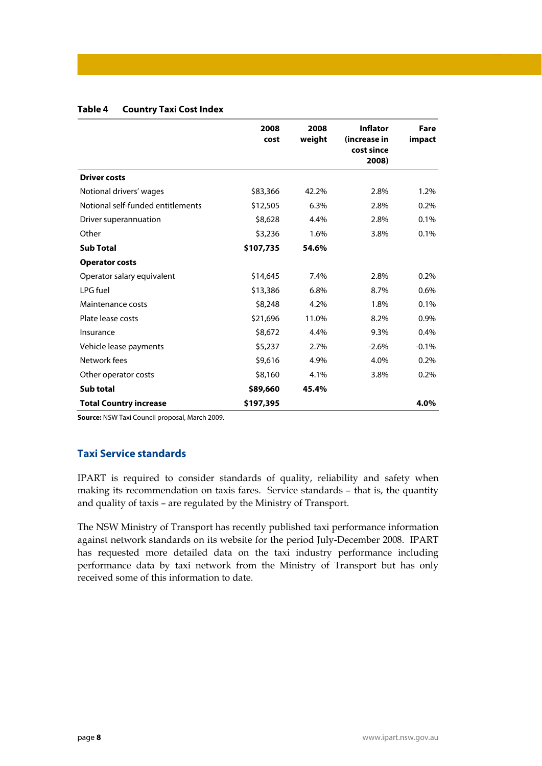## **Table 4 Country Taxi Cost Index**

|                                   | 2008<br>cost | 2008<br>weight | <b>Inflator</b><br>(increase in<br>cost since<br>2008) | Fare<br>impact |
|-----------------------------------|--------------|----------------|--------------------------------------------------------|----------------|
| <b>Driver costs</b>               |              |                |                                                        |                |
| Notional drivers' wages           | \$83,366     | 42.2%          | 2.8%                                                   | 1.2%           |
| Notional self-funded entitlements | \$12,505     | 6.3%           | 2.8%                                                   | 0.2%           |
| Driver superannuation             | \$8,628      | 4.4%           | 2.8%                                                   | 0.1%           |
| Other                             | \$3,236      | 1.6%           | 3.8%                                                   | 0.1%           |
| <b>Sub Total</b>                  | \$107,735    | 54.6%          |                                                        |                |
| <b>Operator costs</b>             |              |                |                                                        |                |
| Operator salary equivalent        | \$14,645     | 7.4%           | 2.8%                                                   | 0.2%           |
| LPG fuel                          | \$13,386     | 6.8%           | 8.7%                                                   | 0.6%           |
| Maintenance costs                 | \$8,248      | 4.2%           | 1.8%                                                   | 0.1%           |
| Plate lease costs                 | \$21,696     | 11.0%          | 8.2%                                                   | 0.9%           |
| Insurance                         | \$8,672      | 4.4%           | 9.3%                                                   | 0.4%           |
| Vehicle lease payments            | \$5,237      | 2.7%           | $-2.6%$                                                | $-0.1%$        |
| Network fees                      | \$9,616      | 4.9%           | 4.0%                                                   | 0.2%           |
| Other operator costs              | \$8,160      | 4.1%           | 3.8%                                                   | 0.2%           |
| Sub total                         | \$89,660     | 45.4%          |                                                        |                |
| <b>Total Country increase</b>     | \$197,395    |                |                                                        | 4.0%           |

**Source:** NSW Taxi Council proposal, March 2009.

# **Taxi Service standards**

IPART is required to consider standards of quality, reliability and safety when making its recommendation on taxis fares. Service standards – that is, the quantity and quality of taxis – are regulated by the Ministry of Transport.

The NSW Ministry of Transport has recently published taxi performance information against network standards on its website for the period July-December 2008. IPART has requested more detailed data on the taxi industry performance including performance data by taxi network from the Ministry of Transport but has only received some of this information to date.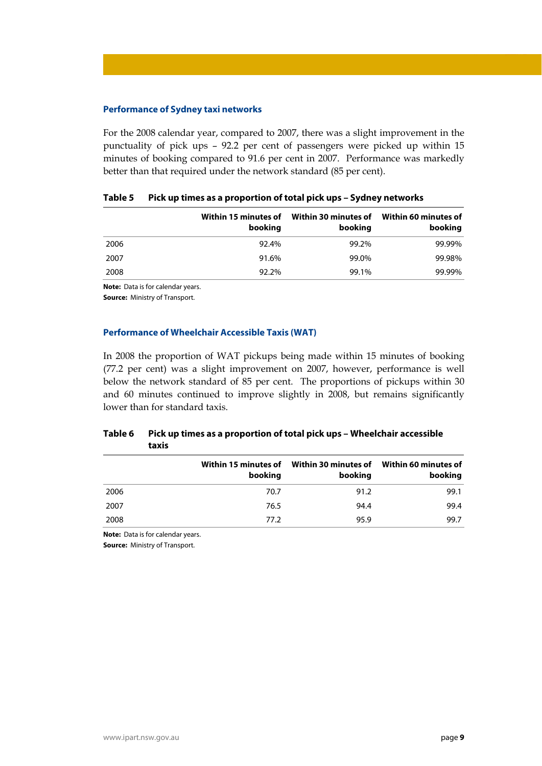### **Performance of Sydney taxi networks**

For the 2008 calendar year, compared to 2007, there was a slight improvement in the punctuality of pick ups – 92.2 per cent of passengers were picked up within 15 minutes of booking compared to 91.6 per cent in 2007. Performance was markedly better than that required under the network standard (85 per cent).

|      | booking | Within 15 minutes of Within 30 minutes of<br>booking | Within 60 minutes of<br>booking |
|------|---------|------------------------------------------------------|---------------------------------|
| 2006 | 92.4%   | 99.2%                                                | 99.99%                          |
| 2007 | 91.6%   | 99.0%                                                | 99.98%                          |
| 2008 | 92.2%   | 99.1%                                                | 99.99%                          |

#### **Table 5 Pick up times as a proportion of total pick ups – Sydney networks**

**Note:** Data is for calendar years.

**Source:** Ministry of Transport.

### **Performance of Wheelchair Accessible Taxis (WAT)**

In 2008 the proportion of WAT pickups being made within 15 minutes of booking (77.2 per cent) was a slight improvement on 2007, however, performance is well below the network standard of 85 per cent. The proportions of pickups within 30 and 60 minutes continued to improve slightly in 2008, but remains significantly lower than for standard taxis.

# **Table 6 Pick up times as a proportion of total pick ups – Wheelchair accessible taxis**

|      | booking | Within 15 minutes of Within 30 minutes of<br>booking | Within 60 minutes of<br>booking |
|------|---------|------------------------------------------------------|---------------------------------|
| 2006 | 70.7    | 91.2                                                 | 99.1                            |
| 2007 | 76.5    | 94.4                                                 | 99.4                            |
| 2008 | 77.2    | 95.9                                                 | 99.7                            |
|      |         |                                                      |                                 |

**Note:** Data is for calendar years.

**Source:** Ministry of Transport.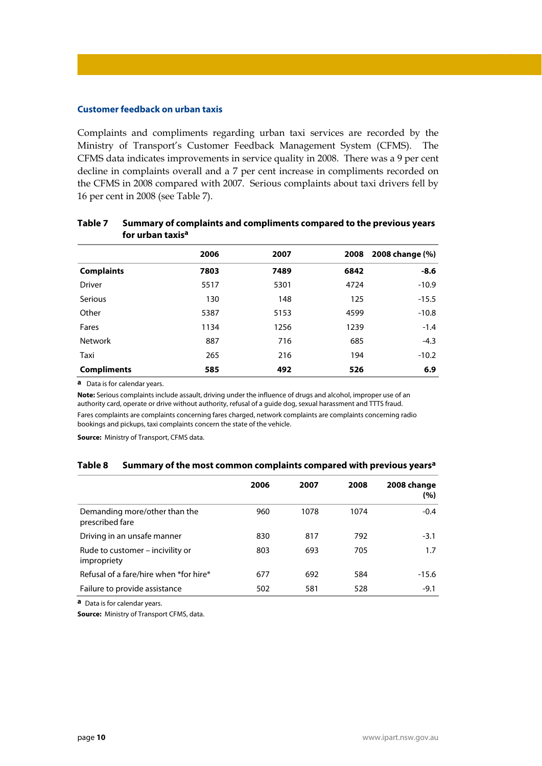### **Customer feedback on urban taxis**

Complaints and compliments regarding urban taxi services are recorded by the Ministry of Transport's Customer Feedback Management System (CFMS). The CFMS data indicates improvements in service quality in 2008. There was a 9 per cent decline in complaints overall and a 7 per cent increase in compliments recorded on the CFMS in 2008 compared with 2007. Serious complaints about taxi drivers fell by 16 per cent in 2008 (see Table 7).

|                    | 2006 | 2007 |      | 2008 2008 change (%) |
|--------------------|------|------|------|----------------------|
| <b>Complaints</b>  | 7803 | 7489 | 6842 | $-8.6$               |
| <b>Driver</b>      | 5517 | 5301 | 4724 | $-10.9$              |
| Serious            | 130  | 148  | 125  | $-15.5$              |
| Other              | 5387 | 5153 | 4599 | $-10.8$              |
| Fares              | 1134 | 1256 | 1239 | $-1.4$               |
| <b>Network</b>     | 887  | 716  | 685  | $-4.3$               |
| Taxi               | 265  | 216  | 194  | $-10.2$              |
| <b>Compliments</b> | 585  | 492  | 526  | 6.9                  |

## **Table 7 Summary of complaints and compliments compared to the previous years for urban taxisa**

**a** Data is for calendar years.

**Note:** Serious complaints include assault, driving under the influence of drugs and alcohol, improper use of an authority card, operate or drive without authority, refusal of a guide dog, sexual harassment and TTTS fraud. Fares complaints are complaints concerning fares charged, network complaints are complaints concerning radio bookings and pickups, taxi complaints concern the state of the vehicle.

**Source:** Ministry of Transport, CFMS data.

#### **Table 8 Summary of the most common complaints compared with previous years<sup>a</sup>**

|                                                  | 2006 | 2007 | 2008 | 2008 change<br>(%) |
|--------------------------------------------------|------|------|------|--------------------|
| Demanding more/other than the<br>prescribed fare | 960  | 1078 | 1074 | $-0.4$             |
| Driving in an unsafe manner                      | 830  | 817  | 792  | $-3.1$             |
| Rude to customer – incivility or<br>impropriety  | 803  | 693  | 705  | 1.7                |
| Refusal of a fare/hire when *for hire*           | 677  | 692  | 584  | $-15.6$            |
| Failure to provide assistance                    | 502  | 581  | 528  | $-9.1$             |

**a** Data is for calendar years.

**Source:** Ministry of Transport CFMS, data.